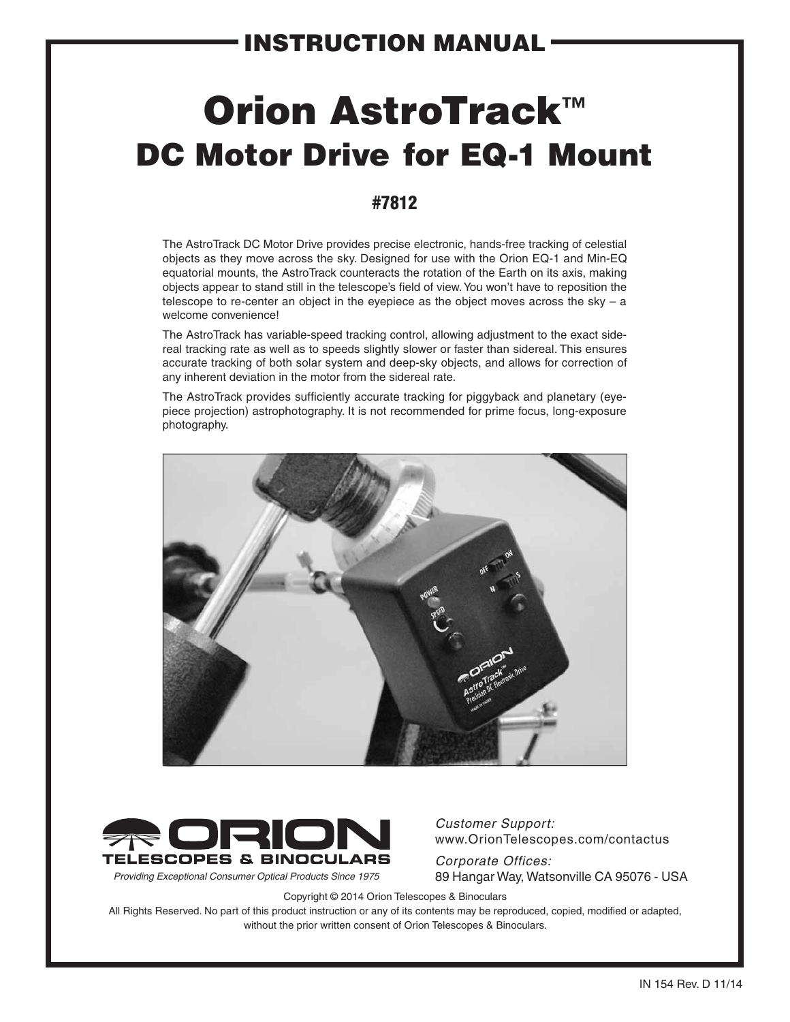# Orion AstroTrack™ DC Motor Drive for EQ-1 Mount

#### #7812

The AstroTrack DC Motor Drive provides precise electronic, hands-free tracking of celestial objects as they move across the sky. Designed for use with the Orion EQ-1 and Min-EQ equatorial mounts, the AstroTrack counteracts the rotation of the Earth on its axis, making objects appear to stand still in the telescope's field of view. You won't have to reposition the telescope to re-center an object in the eyepiece as the object moves across the sky  $-$  a welcome convenience!

The AstroTrack has variable-speed tracking control, allowing adjustment to the exact sidereal tracking rate as well as to speeds slightly slower or faster than sidereal. This ensures accurate tracking of both solar system and deep-sky objects, and allows for correction of any inherent deviation in the motor from the sidereal rate.

The AstroTrack provides sufficiently accurate tracking for piggyback and planetary (eyepiece projection) astrophotography. It is not recommended for prime focus, long-exposure photography.





*Customer Support:*  www.OrionTelescopes.com/contactus

*Corporate Offices: Providing Exceptional Consumer Optical Products Since 1975* 89 Hangar Way, Watsonville CA 95076 - USA

Copyright © 2014 Orion Telescopes & Binoculars

All Rights Reserved. No part of this product instruction or any of its contents may be reproduced, copied, modified or adapted, without the prior written consent of Orion Telescopes & Binoculars.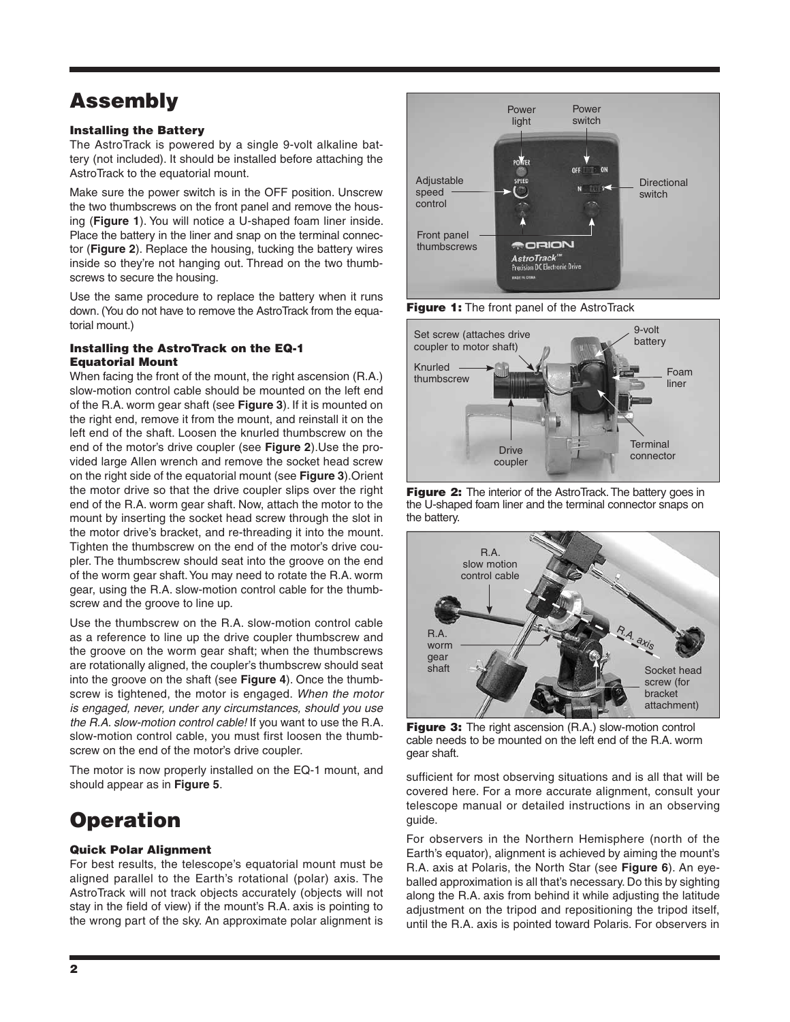### Assembly

#### Installing the Battery

The AstroTrack is powered by a single 9-volt alkaline battery (not included). It should be installed before attaching the AstroTrack to the equatorial mount.

Make sure the power switch is in the OFF position. Unscrew the two thumbscrews on the front panel and remove the housing (**Figure 1**). You will notice a U-shaped foam liner inside. Place the battery in the liner and snap on the terminal connector (**Figure 2**). Replace the housing, tucking the battery wires inside so they're not hanging out. Thread on the two thumbscrews to secure the housing.

Use the same procedure to replace the battery when it runs down. (You do not have to remove the AstroTrack from the equatorial mount.)

#### Installing the AstroTrack on the EQ-1 Equatorial Mount

When facing the front of the mount, the right ascension (R.A.) slow-motion control cable should be mounted on the left end of the R.A. worm gear shaft (see **Figure 3**). If it is mounted on the right end, remove it from the mount, and reinstall it on the left end of the shaft. Loosen the knurled thumbscrew on the end of the motor's drive coupler (see **Figure 2**).Use the provided large Allen wrench and remove the socket head screw on the right side of the equatorial mount (see **Figure 3**).Orient the motor drive so that the drive coupler slips over the right end of the R.A. worm gear shaft. Now, attach the motor to the mount by inserting the socket head screw through the slot in the motor drive's bracket, and re-threading it into the mount. Tighten the thumbscrew on the end of the motor's drive coupler. The thumbscrew should seat into the groove on the end of the worm gear shaft. You may need to rotate the R.A. worm gear, using the R.A. slow-motion control cable for the thumbscrew and the groove to line up.

Use the thumbscrew on the R.A. slow-motion control cable as a reference to line up the drive coupler thumbscrew and the groove on the worm gear shaft; when the thumbscrews are rotationally aligned, the coupler's thumbscrew should seat into the groove on the shaft (see **Figure 4**). Once the thumbscrew is tightened, the motor is engaged. *When the motor is engaged, never, under any circumstances, should you use the R.A. slow-motion control cable!* If you want to use the R.A. slow-motion control cable, you must first loosen the thumbscrew on the end of the motor's drive coupler.

The motor is now properly installed on the EQ-1 mount, and should appear as in **Figure 5**.

### **Operation**

#### Quick Polar Alignment

For best results, the telescope's equatorial mount must be aligned parallel to the Earth's rotational (polar) axis. The AstroTrack will not track objects accurately (objects will not stay in the field of view) if the mount's R.A. axis is pointing to the wrong part of the sky. An approximate polar alignment is



Figure 1: The front panel of the AstroTrack







Figure 3: The right ascension (R.A.) slow-motion control cable needs to be mounted on the left end of the R.A. worm gear shaft.

sufficient for most observing situations and is all that will be covered here. For a more accurate alignment, consult your telescope manual or detailed instructions in an observing guide.

For observers in the Northern Hemisphere (north of the Earth's equator), alignment is achieved by aiming the mount's R.A. axis at Polaris, the North Star (see **Figure 6**). An eyeballed approximation is all that's necessary. Do this by sighting along the R.A. axis from behind it while adjusting the latitude adjustment on the tripod and repositioning the tripod itself, until the R.A. axis is pointed toward Polaris. For observers in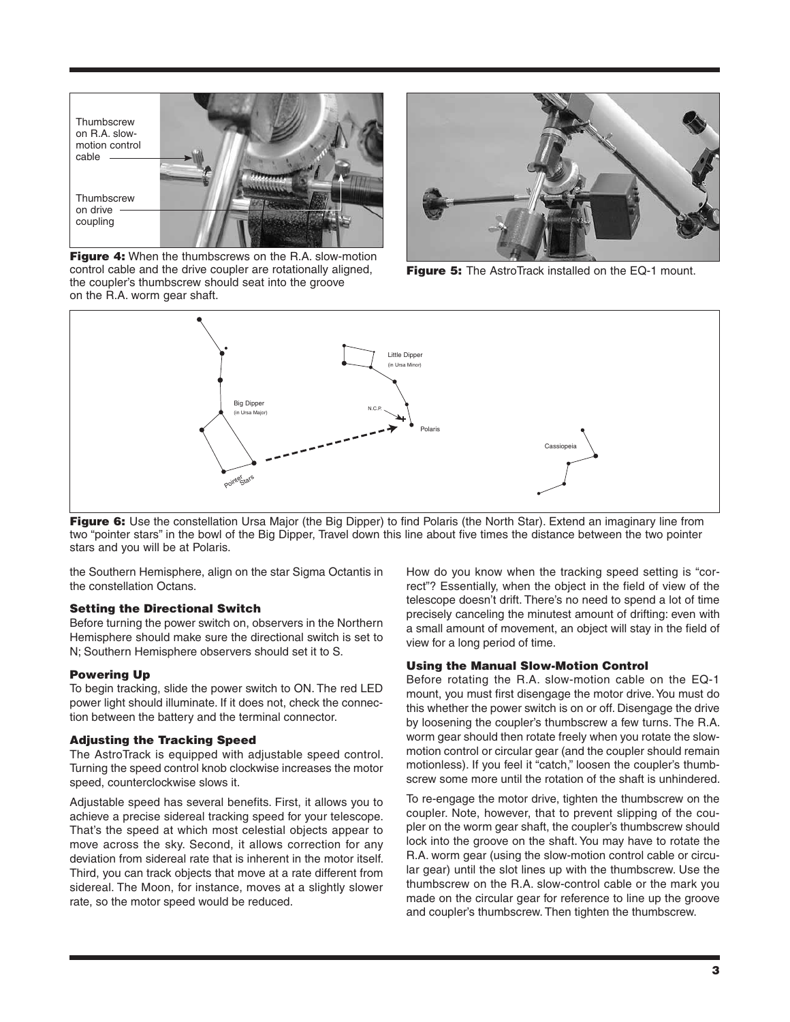

Figure 4: When the thumbscrews on the R.A. slow-motion control cable and the drive coupler are rotationally aligned, the coupler's thumbscrew should seat into the groove on the R.A. worm gear shaft.



Figure 5: The AstroTrack installed on the EQ-1 mount.



**Figure 6:** Use the constellation Ursa Major (the Big Dipper) to find Polaris (the North Star). Extend an imaginary line from two "pointer stars" in the bowl of the Big Dipper, Travel down this line about five times the distance between the two pointer stars and you will be at Polaris.

the Southern Hemisphere, align on the star Sigma Octantis in the constellation Octans.

#### Setting the Directional Switch

Before turning the power switch on, observers in the Northern Hemisphere should make sure the directional switch is set to N; Southern Hemisphere observers should set it to S.

#### Powering Up

To begin tracking, slide the power switch to ON. The red LED power light should illuminate. If it does not, check the connection between the battery and the terminal connector.

#### Adjusting the Tracking Speed

The AstroTrack is equipped with adjustable speed control. Turning the speed control knob clockwise increases the motor speed, counterclockwise slows it.

Adjustable speed has several benefits. First, it allows you to achieve a precise sidereal tracking speed for your telescope. That's the speed at which most celestial objects appear to move across the sky. Second, it allows correction for any deviation from sidereal rate that is inherent in the motor itself. Third, you can track objects that move at a rate different from sidereal. The Moon, for instance, moves at a slightly slower rate, so the motor speed would be reduced.

How do you know when the tracking speed setting is "correct"? Essentially, when the object in the field of view of the telescope doesn't drift. There's no need to spend a lot of time precisely canceling the minutest amount of drifting: even with a small amount of movement, an object will stay in the field of view for a long period of time.

#### Using the Manual Slow-Motion Control

Before rotating the R.A. slow-motion cable on the EQ-1 mount, you must first disengage the motor drive. You must do this whether the power switch is on or off. Disengage the drive by loosening the coupler's thumbscrew a few turns. The R.A. worm gear should then rotate freely when you rotate the slowmotion control or circular gear (and the coupler should remain motionless). If you feel it "catch," loosen the coupler's thumbscrew some more until the rotation of the shaft is unhindered.

To re-engage the motor drive, tighten the thumbscrew on the coupler. Note, however, that to prevent slipping of the coupler on the worm gear shaft, the coupler's thumbscrew should lock into the groove on the shaft. You may have to rotate the R.A. worm gear (using the slow-motion control cable or circular gear) until the slot lines up with the thumbscrew. Use the thumbscrew on the R.A. slow-control cable or the mark you made on the circular gear for reference to line up the groove and coupler's thumbscrew. Then tighten the thumbscrew.